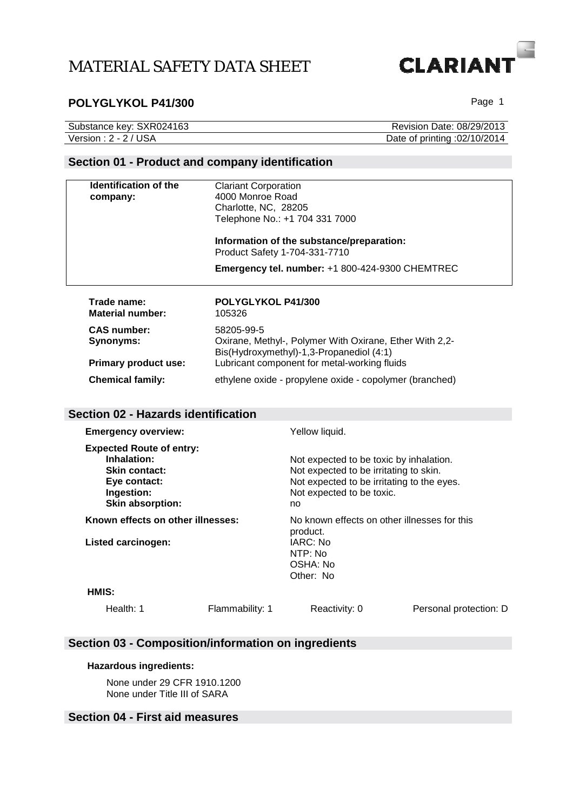

## POLYGLYKOL P41/300 **POLYGLYKOL P41/300** Page 1

| Substance key: SXR024163 | Revision Date: 08/29/2013    |
|--------------------------|------------------------------|
| Version : 2 - 2 / USA    | Date of printing :02/10/2014 |

## **Section 01 - Product and company identification**

| <b>Clariant Corporation</b>                                                                                       |
|-------------------------------------------------------------------------------------------------------------------|
| 4000 Monroe Road                                                                                                  |
| Charlotte, NC, 28205                                                                                              |
| Telephone No.: +1 704 331 7000                                                                                    |
| Information of the substance/preparation:<br>Product Safety 1-704-331-7710                                        |
| Emergency tel. number: +1 800-424-9300 CHEMTREC                                                                   |
| POLYGLYKOL P41/300<br>105326                                                                                      |
| 58205-99-5<br>Oxirane, Methyl-, Polymer With Oxirane, Ether With 2,2-<br>Bis(Hydroxymethyl)-1,3-Propanediol (4:1) |
| Lubricant component for metal-working fluids                                                                      |
| ethylene oxide - propylene oxide - copolymer (branched)                                                           |
|                                                                                                                   |

#### **Section 02 - Hazards identification**

| <b>Emergency overview:</b>                                                                                                      |                 | Yellow liquid.                                                                                                                                                     |                        |
|---------------------------------------------------------------------------------------------------------------------------------|-----------------|--------------------------------------------------------------------------------------------------------------------------------------------------------------------|------------------------|
| <b>Expected Route of entry:</b><br>Inhalation:<br><b>Skin contact:</b><br>Eye contact:<br>Ingestion:<br><b>Skin absorption:</b> |                 | Not expected to be toxic by inhalation.<br>Not expected to be irritating to skin.<br>Not expected to be irritating to the eyes.<br>Not expected to be toxic.<br>no |                        |
| Known effects on other illnesses:<br><b>Listed carcinogen:</b>                                                                  |                 | No known effects on other illnesses for this<br>product.<br>IARC: No<br>NTP: No<br>OSHA: No<br>Other: No                                                           |                        |
| HMIS:                                                                                                                           |                 |                                                                                                                                                                    |                        |
| Health: $1$                                                                                                                     | Flammability: 1 | Reactivity: 0                                                                                                                                                      | Personal protection: D |

## **Section 03 - Composition/information on ingredients**

#### **Hazardous ingredients:**

None under 29 CFR 1910.1200 None under Title III of SARA

### **Section 04 - First aid measures**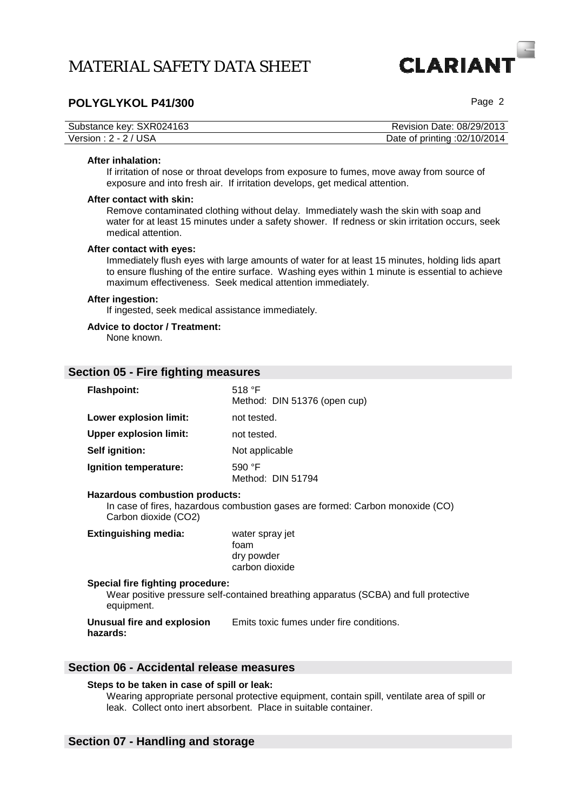# **CLARIAN**

## **POLYGLYKOL P41/300 POLYGLYKOL P41/300**

| Substance key: SXR024163 | Revision Date: 08/29/2013    |
|--------------------------|------------------------------|
| Version : 2 - 2 / USA    | Date of printing :02/10/2014 |

#### **After inhalation:**

If irritation of nose or throat develops from exposure to fumes, move away from source of exposure and into fresh air. If irritation develops, get medical attention.

#### **After contact with skin:**

Remove contaminated clothing without delay. Immediately wash the skin with soap and water for at least 15 minutes under a safety shower. If redness or skin irritation occurs, seek medical attention.

#### **After contact with eyes:**

Immediately flush eyes with large amounts of water for at least 15 minutes, holding lids apart to ensure flushing of the entire surface. Washing eyes within 1 minute is essential to achieve maximum effectiveness. Seek medical attention immediately.

#### **After ingestion:**

If ingested, seek medical assistance immediately.

#### **Advice to doctor / Treatment:**

None known.

#### **Section 05 - Fire fighting measures**

| <b>Flashpoint:</b>            | 518 $\degree$ F<br>Method: DIN 51376 (open cup) |
|-------------------------------|-------------------------------------------------|
| Lower explosion limit:        | not tested.                                     |
| <b>Upper explosion limit:</b> | not tested.                                     |
| Self ignition:                | Not applicable                                  |
| Ignition temperature:         | 590 $\degree$ F<br>Method: DIN 51794            |

#### **Hazardous combustion products:**

In case of fires, hazardous combustion gases are formed: Carbon monoxide (CO) Carbon dioxide (CO2)

| <b>Extinguishing media:</b>      | water spray jet |  |
|----------------------------------|-----------------|--|
|                                  | foam            |  |
|                                  | dry powder      |  |
|                                  | carbon dioxide  |  |
| Cassial five fighting presedure: |                 |  |

#### **Special fire fighting procedure:**

Wear positive pressure self-contained breathing apparatus (SCBA) and full protective equipment.

**Unusual fire and explosion hazards:**  Emits toxic fumes under fire conditions.

### **Section 06 - Accidental release measures**

#### **Steps to be taken in case of spill or leak:**

Wearing appropriate personal protective equipment, contain spill, ventilate area of spill or leak. Collect onto inert absorbent. Place in suitable container.

#### **Section 07 - Handling and storage**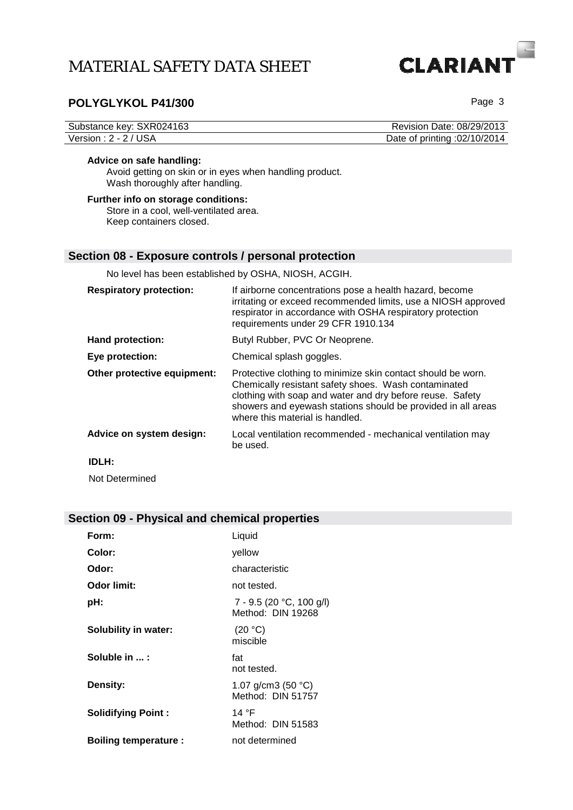

## POLYGLYKOL P41/300

| Substance key: SXR024163 | Revision Date: 08/29/2013    |
|--------------------------|------------------------------|
| Version : 2 - 2 / USA    | Date of printing :02/10/2014 |

#### **Advice on safe handling:**

Avoid getting on skin or in eyes when handling product. Wash thoroughly after handling.

#### **Further info on storage conditions:**  Store in a cool, well-ventilated area. Keep containers closed.

#### **Section 08 - Exposure controls / personal protection**

No level has been established by OSHA, NIOSH, ACGIH.

| <b>Respiratory protection:</b> | If airborne concentrations pose a health hazard, become<br>irritating or exceed recommended limits, use a NIOSH approved<br>respirator in accordance with OSHA respiratory protection<br>requirements under 29 CFR 1910.134                                                          |
|--------------------------------|--------------------------------------------------------------------------------------------------------------------------------------------------------------------------------------------------------------------------------------------------------------------------------------|
| <b>Hand protection:</b>        | Butyl Rubber, PVC Or Neoprene.                                                                                                                                                                                                                                                       |
| Eye protection:                | Chemical splash goggles.                                                                                                                                                                                                                                                             |
| Other protective equipment:    | Protective clothing to minimize skin contact should be worn.<br>Chemically resistant safety shoes. Wash contaminated<br>clothing with soap and water and dry before reuse. Safety<br>showers and eyewash stations should be provided in all areas<br>where this material is handled. |
| Advice on system design:       | Local ventilation recommended - mechanical ventilation may<br>be used.                                                                                                                                                                                                               |
| <b>IDLH:</b>                   |                                                                                                                                                                                                                                                                                      |
| Not Determined                 |                                                                                                                                                                                                                                                                                      |

## **Section 09 - Physical and chemical properties**

| Form:                       | Liquid                                            |
|-----------------------------|---------------------------------------------------|
| Color:                      | yellow                                            |
| Odor:                       | characteristic                                    |
| <b>Odor limit:</b>          | not tested.                                       |
| pH:                         | $7 - 9.5$ (20 °C, 100 g/l)<br>Method: DIN 19268   |
| Solubility in water:        | (20 °C)<br>miscible                               |
| Soluble in :                | fat<br>not tested.                                |
| <b>Density:</b>             | 1.07 g/cm3 (50 $^{\circ}$ C)<br>Method: DIN 51757 |
| <b>Solidifying Point:</b>   | 14 °F<br>Method: DIN 51583                        |
| <b>Boiling temperature:</b> | not determined                                    |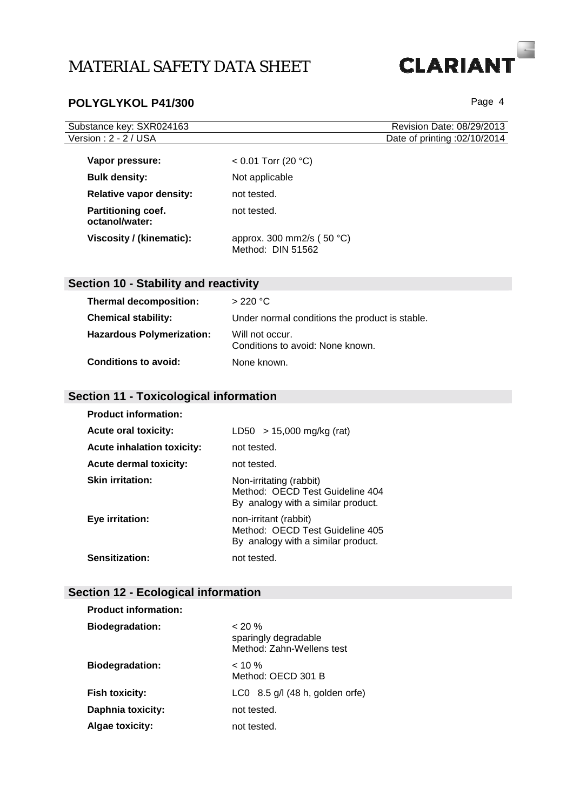# POLYGLYKOL P41/300

**CLARIANT** 

| Substance key: SXR024163                    |                                                    | Revision Date: 08/29/2013    |
|---------------------------------------------|----------------------------------------------------|------------------------------|
| Version: 2 - 2 / USA                        |                                                    | Date of printing :02/10/2014 |
|                                             |                                                    |                              |
| Vapor pressure:                             | $< 0.01$ Torr (20 °C)                              |                              |
| <b>Bulk density:</b>                        | Not applicable                                     |                              |
| <b>Relative vapor density:</b>              | not tested.                                        |                              |
| <b>Partitioning coef.</b><br>octanol/water: | not tested.                                        |                              |
| Viscosity / (kinematic):                    | approx. 300 mm2/s ( $50 °C$ )<br>Method: DIN 51562 |                              |

# **Section 10 - Stability and reactivity**

| <b>Thermal decomposition:</b>    | >220 °C                                             |
|----------------------------------|-----------------------------------------------------|
| <b>Chemical stability:</b>       | Under normal conditions the product is stable.      |
| <b>Hazardous Polymerization:</b> | Will not occur.<br>Conditions to avoid: None known. |
| <b>Conditions to avoid:</b>      | None known.                                         |

## **Section 11 - Toxicological information**

| <b>Product information:</b>       |                                                                                                  |
|-----------------------------------|--------------------------------------------------------------------------------------------------|
| <b>Acute oral toxicity:</b>       | LD50 $>$ 15,000 mg/kg (rat)                                                                      |
| <b>Acute inhalation toxicity:</b> | not tested.                                                                                      |
| <b>Acute dermal toxicity:</b>     | not tested.                                                                                      |
| <b>Skin irritation:</b>           | Non-irritating (rabbit)<br>Method: OECD Test Guideline 404<br>By analogy with a similar product. |
| Eye irritation:                   | non-irritant (rabbit)<br>Method: OECD Test Guideline 405<br>By analogy with a similar product.   |
| <b>Sensitization:</b>             | not tested.                                                                                      |

# **Section 12 - Ecological information**

| <b>Product information:</b> |                                                                |  |
|-----------------------------|----------------------------------------------------------------|--|
| <b>Biodegradation:</b>      | $< 20 \%$<br>sparingly degradable<br>Method: Zahn-Wellens test |  |
| <b>Biodegradation:</b>      | $< 10 \%$<br>Method: OECD 301 B                                |  |
| <b>Fish toxicity:</b>       | LC0 $8.5$ g/l (48 h, golden orfe)                              |  |
| Daphnia toxicity:           | not tested.                                                    |  |
| <b>Algae toxicity:</b>      | not tested.                                                    |  |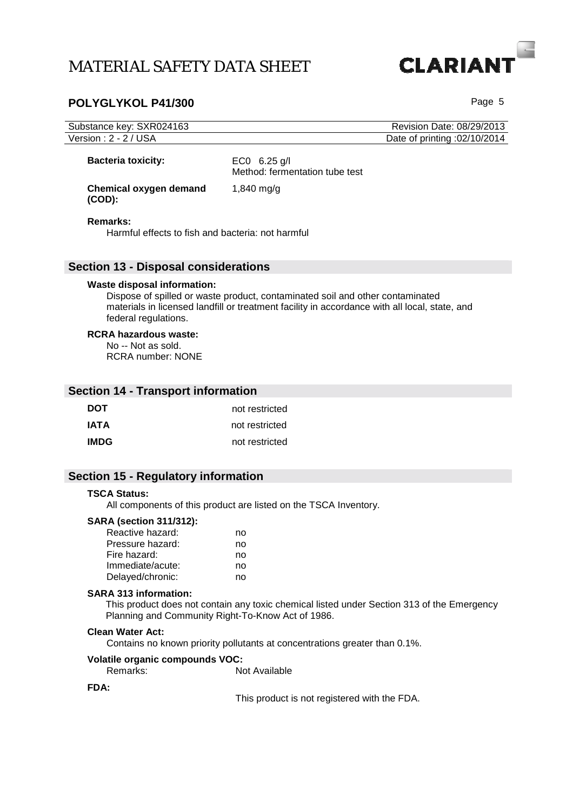## POLYGLYKOL P41/300

**CLARIAN** 

| Substance key: SXR024163<br>Version: 2 - 2 / USA                               |                                                                                                                                                                                | Revision Date: 08/29/2013<br>Date of printing :02/10/2014 |
|--------------------------------------------------------------------------------|--------------------------------------------------------------------------------------------------------------------------------------------------------------------------------|-----------------------------------------------------------|
| <b>Bacteria toxicity:</b>                                                      | EC0 $6.25$ g/l<br>Method: fermentation tube test                                                                                                                               |                                                           |
| <b>Chemical oxygen demand</b><br>$(COD)$ :                                     | 1,840 mg/g                                                                                                                                                                     |                                                           |
| Remarks:<br>Harmful effects to fish and bacteria: not harmful                  |                                                                                                                                                                                |                                                           |
| <b>Section 13 - Disposal considerations</b>                                    |                                                                                                                                                                                |                                                           |
| Waste disposal information:<br>federal regulations.                            | Dispose of spilled or waste product, contaminated soil and other contaminated<br>materials in licensed landfill or treatment facility in accordance with all local, state, and |                                                           |
| <b>RCRA hazardous waste:</b><br>No -- Not as sold.<br><b>RCRA</b> number: NONE |                                                                                                                                                                                |                                                           |
| <b>Section 14 - Transport information</b>                                      |                                                                                                                                                                                |                                                           |
| <b>DOT</b>                                                                     | not restricted                                                                                                                                                                 |                                                           |
| <b>IATA</b>                                                                    | not restricted                                                                                                                                                                 |                                                           |
| <b>IMDG</b>                                                                    | not restricted                                                                                                                                                                 |                                                           |
|                                                                                |                                                                                                                                                                                |                                                           |

# **Section 15 - Regulatory information**

#### **TSCA Status:**

All components of this product are listed on the TSCA Inventory.

### **SARA (section 311/312):**

| Reactive hazard: | no |
|------------------|----|
| Pressure hazard: | no |
| Fire hazard:     | no |
| Immediate/acute: | no |
| Delayed/chronic: | no |

#### **SARA 313 information:**

This product does not contain any toxic chemical listed under Section 313 of the Emergency Planning and Community Right-To-Know Act of 1986.

#### **Clean Water Act:**

Contains no known priority pollutants at concentrations greater than 0.1%.

# **Volatile organic compounds VOC:**

Not Available

#### **FDA:**

This product is not registered with the FDA.